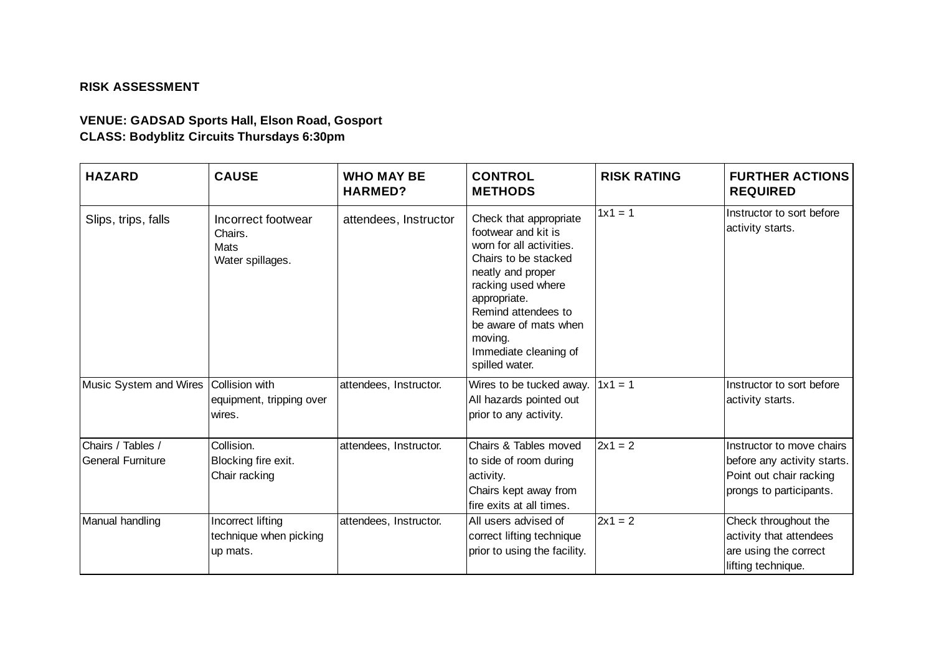## **RISK ASSESSMENT**

## **VENUE: GADSAD Sports Hall, Elson Road, Gosport CLASS: Bodyblitz Circuits Thursdays 6:30pm**

| <b>HAZARD</b>                                  | <b>CAUSE</b>                                                     | <b>WHO MAY BE</b><br><b>HARMED?</b> | <b>CONTROL</b><br><b>METHODS</b>                                                                                                                                                                                                                                   | <b>RISK RATING</b> | <b>FURTHER ACTIONS</b><br><b>REQUIRED</b>                                                                      |
|------------------------------------------------|------------------------------------------------------------------|-------------------------------------|--------------------------------------------------------------------------------------------------------------------------------------------------------------------------------------------------------------------------------------------------------------------|--------------------|----------------------------------------------------------------------------------------------------------------|
| Slips, trips, falls                            | Incorrect footwear<br>Chairs.<br><b>Mats</b><br>Water spillages. | attendees, Instructor               | Check that appropriate<br>footwear and kit is<br>worn for all activities.<br>Chairs to be stacked<br>neatly and proper<br>racking used where<br>appropriate.<br>Remind attendees to<br>be aware of mats when<br>moving.<br>Immediate cleaning of<br>spilled water. | $1x1 = 1$          | Instructor to sort before<br>activity starts.                                                                  |
| Music System and Wires                         | <b>Collision with</b><br>equipment, tripping over<br>wires.      | attendees, Instructor.              | Wires to be tucked away.<br>All hazards pointed out<br>prior to any activity.                                                                                                                                                                                      | $1x1 = 1$          | Instructor to sort before<br>activity starts.                                                                  |
| Chairs / Tables /<br><b>IGeneral Furniture</b> | Collision.<br>Blocking fire exit.<br>Chair racking               | attendees, Instructor.              | Chairs & Tables moved<br>to side of room during<br>activity.<br>Chairs kept away from<br>fire exits at all times.                                                                                                                                                  | $2x1 = 2$          | Instructor to move chairs<br>before any activity starts.<br>Point out chair racking<br>prongs to participants. |
| Manual handling                                | Incorrect lifting<br>technique when picking<br>up mats.          | attendees, Instructor.              | All users advised of<br>correct lifting technique<br>prior to using the facility.                                                                                                                                                                                  | $2x1 = 2$          | Check throughout the<br>activity that attendees<br>are using the correct<br>lifting technique.                 |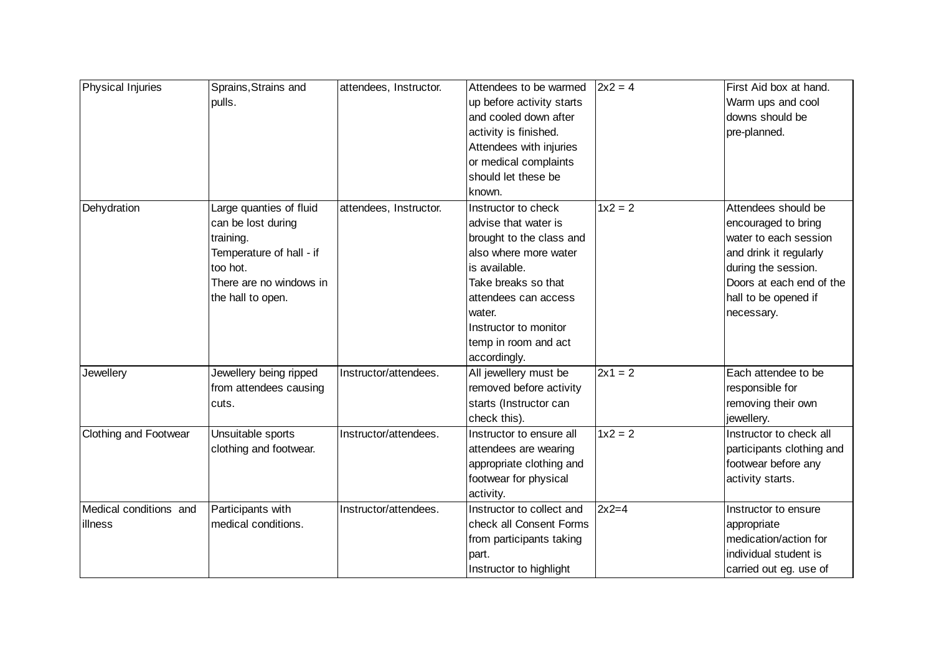| <b>Physical Injuries</b> | Sprains, Strains and     | attendees, Instructor. | Attendees to be warmed    | $2x^2 = 4$ | First Aid box at hand.    |
|--------------------------|--------------------------|------------------------|---------------------------|------------|---------------------------|
|                          | pulls.                   |                        | up before activity starts |            | Warm ups and cool         |
|                          |                          |                        | and cooled down after     |            | downs should be           |
|                          |                          |                        | activity is finished.     |            | pre-planned.              |
|                          |                          |                        | Attendees with injuries   |            |                           |
|                          |                          |                        | or medical complaints     |            |                           |
|                          |                          |                        | should let these be       |            |                           |
|                          |                          |                        | known.                    |            |                           |
| Dehydration              | Large quanties of fluid  | attendees, Instructor. | Instructor to check       | $1x^2 = 2$ | Attendees should be       |
|                          | can be lost during       |                        | advise that water is      |            | encouraged to bring       |
|                          | training.                |                        | brought to the class and  |            | water to each session     |
|                          | Temperature of hall - if |                        | also where more water     |            | and drink it regularly    |
|                          | too hot.                 |                        | is available.             |            | during the session.       |
|                          | There are no windows in  |                        | Take breaks so that       |            | Doors at each end of the  |
|                          | the hall to open.        |                        | attendees can access      |            | hall to be opened if      |
|                          |                          |                        | water.                    |            | necessary.                |
|                          |                          |                        | Instructor to monitor     |            |                           |
|                          |                          |                        | temp in room and act      |            |                           |
|                          |                          |                        | accordingly.              |            |                           |
| Jewellery                | Jewellery being ripped   | Instructor/attendees.  | All jewellery must be     | $2x1 = 2$  | Each attendee to be       |
|                          | from attendees causing   |                        | removed before activity   |            | responsible for           |
|                          | cuts.                    |                        | starts (Instructor can    |            | removing their own        |
|                          |                          |                        | check this).              |            | jewellery.                |
| Clothing and Footwear    | Unsuitable sports        | Instructor/attendees.  | Instructor to ensure all  | $1x^2 = 2$ | Instructor to check all   |
|                          | clothing and footwear.   |                        | attendees are wearing     |            | participants clothing and |
|                          |                          |                        | appropriate clothing and  |            | footwear before any       |
|                          |                          |                        | footwear for physical     |            | activity starts.          |
|                          |                          |                        | activity.                 |            |                           |
| Medical conditions and   | Participants with        | Instructor/attendees.  | Instructor to collect and | $2x2=4$    | Instructor to ensure      |
| lillness                 | medical conditions.      |                        | check all Consent Forms   |            | appropriate               |
|                          |                          |                        | from participants taking  |            | medication/action for     |
|                          |                          |                        | part.                     |            | individual student is     |
|                          |                          |                        | Instructor to highlight   |            | carried out eg. use of    |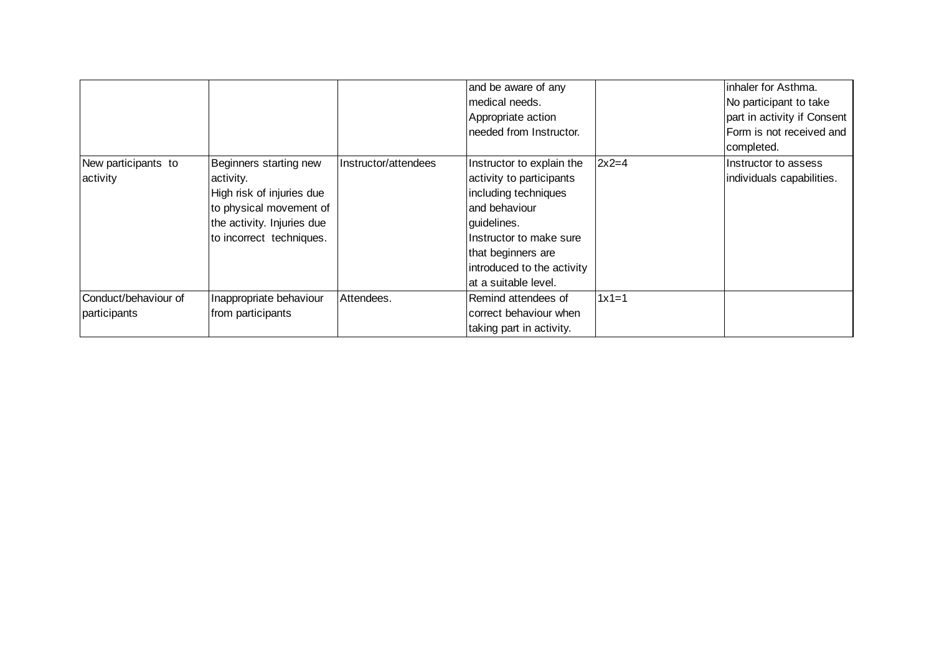|                      |                            |                      | and be aware of any<br>medical needs.<br>Appropriate action<br>needed from Instructor. |         | inhaler for Asthma.<br>No participant to take<br>part in activity if Consent<br>Form is not received and<br>completed. |
|----------------------|----------------------------|----------------------|----------------------------------------------------------------------------------------|---------|------------------------------------------------------------------------------------------------------------------------|
| New participants to  | Beginners starting new     | Instructor/attendees | Instructor to explain the                                                              | $2x2=4$ | Instructor to assess                                                                                                   |
| activity             | activity.                  |                      | activity to participants                                                               |         | individuals capabilities.                                                                                              |
|                      | High risk of injuries due  |                      | including techniques                                                                   |         |                                                                                                                        |
|                      | to physical movement of    |                      | and behaviour                                                                          |         |                                                                                                                        |
|                      | the activity. Injuries due |                      | guidelines.                                                                            |         |                                                                                                                        |
|                      | to incorrect techniques.   |                      | Instructor to make sure                                                                |         |                                                                                                                        |
|                      |                            |                      | that beginners are                                                                     |         |                                                                                                                        |
|                      |                            |                      | introduced to the activity                                                             |         |                                                                                                                        |
|                      |                            |                      | at a suitable level.                                                                   |         |                                                                                                                        |
| Conduct/behaviour of | Inappropriate behaviour    | Attendees.           | Remind attendees of                                                                    | $1x1=1$ |                                                                                                                        |
| participants         | from participants          |                      | correct behaviour when                                                                 |         |                                                                                                                        |
|                      |                            |                      | taking part in activity.                                                               |         |                                                                                                                        |